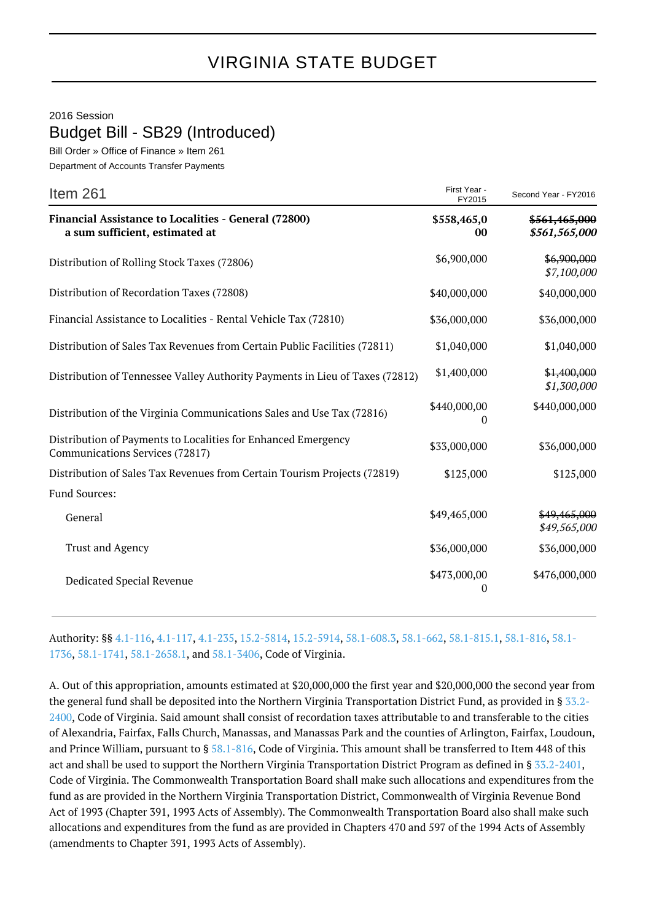## 2016 Session Budget Bill - SB29 (Introduced)

Bill Order » Office of Finance » Item 261 Department of Accounts Transfer Payments

| Item 261                                                                                         | First Year -<br>FY2015 | Second Year - FY2016           |
|--------------------------------------------------------------------------------------------------|------------------------|--------------------------------|
| Financial Assistance to Localities - General (72800)<br>a sum sufficient, estimated at           | \$558,465,0<br>00      | \$561,465,000<br>\$561,565,000 |
| Distribution of Rolling Stock Taxes (72806)                                                      | \$6,900,000            | \$6,900,000<br>\$7,100,000     |
| Distribution of Recordation Taxes (72808)                                                        | \$40,000,000           | \$40,000,000                   |
| Financial Assistance to Localities - Rental Vehicle Tax (72810)                                  | \$36,000,000           | \$36,000,000                   |
| Distribution of Sales Tax Revenues from Certain Public Facilities (72811)                        | \$1,040,000            | \$1,040,000                    |
| Distribution of Tennessee Valley Authority Payments in Lieu of Taxes (72812)                     | \$1,400,000            | \$1,400,000<br>\$1,300,000     |
| Distribution of the Virginia Communications Sales and Use Tax (72816)                            | \$440,000,00<br>0      | \$440,000,000                  |
| Distribution of Payments to Localities for Enhanced Emergency<br>Communications Services (72817) | \$33,000,000           | \$36,000,000                   |
| Distribution of Sales Tax Revenues from Certain Tourism Projects (72819)                         | \$125,000              | \$125,000                      |
| <b>Fund Sources:</b>                                                                             |                        |                                |
| General                                                                                          | \$49,465,000           | \$49,465,000<br>\$49,565,000   |
| <b>Trust and Agency</b>                                                                          | \$36,000,000           | \$36,000,000                   |
| Dedicated Special Revenue                                                                        | \$473,000,00<br>0      | \$476,000,000                  |

Authority: §§ [4.1-116](http://law.lis.virginia.gov/vacode/4.1-116/), [4.1-117](http://law.lis.virginia.gov/vacode/4.1-117/), [4.1-235](http://law.lis.virginia.gov/vacode/4.1-235/), [15.2-5814,](http://law.lis.virginia.gov/vacode/15.2-5814/) [15.2-5914,](http://law.lis.virginia.gov/vacode/15.2-5914/) [58.1-608.3](http://law.lis.virginia.gov/vacode/58.1-608.3/), [58.1-662](http://law.lis.virginia.gov/vacode/58.1-662/), [58.1-815.1](http://law.lis.virginia.gov/vacode/58.1-815.1/), [58.1-816](http://law.lis.virginia.gov/vacode/58.1-816/), [58.1-](http://law.lis.virginia.gov/vacode/58.1-1736/) [1736,](http://law.lis.virginia.gov/vacode/58.1-1736/) [58.1-1741](http://law.lis.virginia.gov/vacode/58.1-1741/), [58.1-2658.1](http://law.lis.virginia.gov/vacode/58.1-2658.1/), and [58.1-3406](http://law.lis.virginia.gov/vacode/58.1-3406/), Code of Virginia.

A. Out of this appropriation, amounts estimated at \$20,000,000 the first year and \$20,000,000 the second year from the general fund shall be deposited into the Northern Virginia Transportation District Fund, as provided in § [33.2-](http://law.lis.virginia.gov/vacode/33.2-2400/) [2400,](http://law.lis.virginia.gov/vacode/33.2-2400/) Code of Virginia. Said amount shall consist of recordation taxes attributable to and transferable to the cities of Alexandria, Fairfax, Falls Church, Manassas, and Manassas Park and the counties of Arlington, Fairfax, Loudoun, and Prince William, pursuant to § [58.1-816](http://law.lis.virginia.gov/vacode/58.1-816/), Code of Virginia. This amount shall be transferred to Item 448 of this act and shall be used to support the Northern Virginia Transportation District Program as defined in § [33.2-2401,](http://law.lis.virginia.gov/vacode/33.2-2401/) Code of Virginia. The Commonwealth Transportation Board shall make such allocations and expenditures from the fund as are provided in the Northern Virginia Transportation District, Commonwealth of Virginia Revenue Bond Act of 1993 (Chapter 391, 1993 Acts of Assembly). The Commonwealth Transportation Board also shall make such allocations and expenditures from the fund as are provided in Chapters 470 and 597 of the 1994 Acts of Assembly (amendments to Chapter 391, 1993 Acts of Assembly).